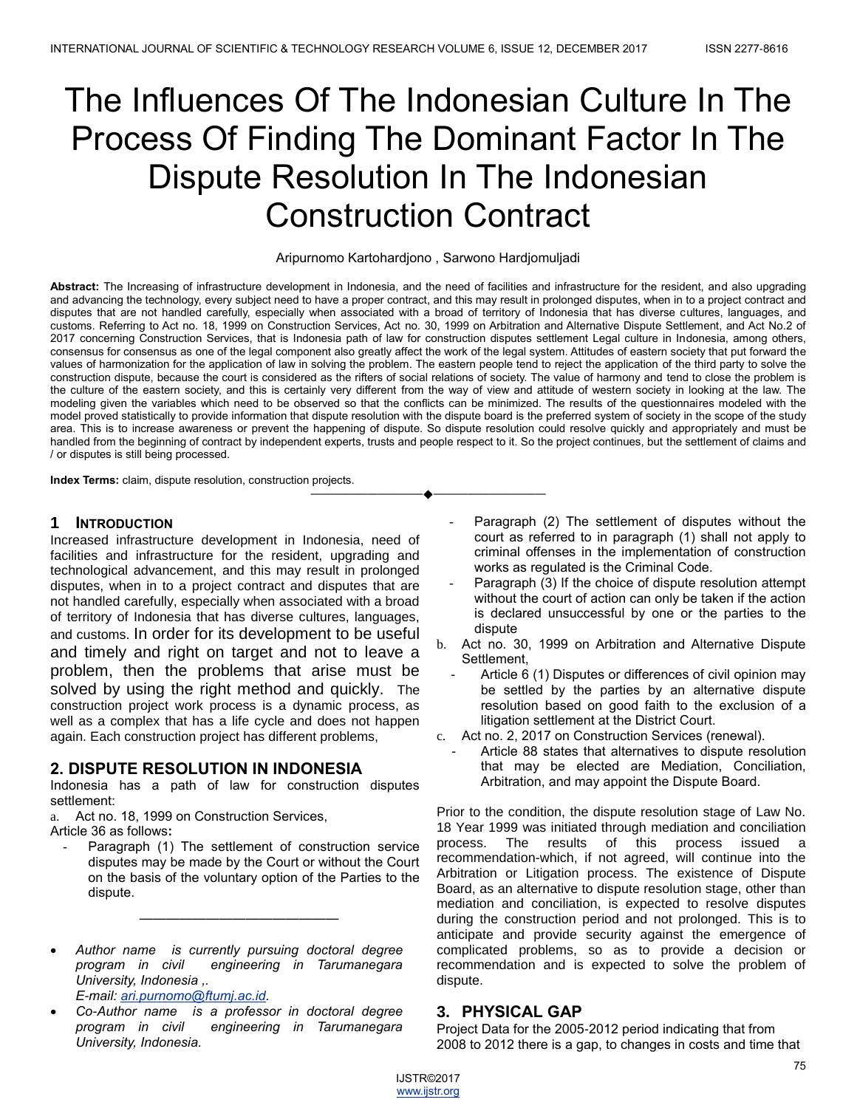# The Influences Of The Indonesian Culture In The Process Of Finding The Dominant Factor In The Dispute Resolution In The Indonesian Construction Contract

#### Aripurnomo Kartohardjono , Sarwono Hardjomuljadi

**Abstract:** The Increasing of infrastructure development in Indonesia, and the need of facilities and infrastructure for the resident, and also upgrading and advancing the technology, every subject need to have a proper contract, and this may result in prolonged disputes, when in to a project contract and disputes that are not handled carefully, especially when associated with a broad of territory of Indonesia that has diverse cultures, languages, and customs. Referring to Act no. 18, 1999 on Construction Services, Act no. 30, 1999 on Arbitration and Alternative Dispute Settlement, and Act No.2 of 2017 concerning Construction Services, that is Indonesia path of law for construction disputes settlement Legal culture in Indonesia, among others, consensus for consensus as one of the legal component also greatly affect the work of the legal system. Attitudes of eastern society that put forward the values of harmonization for the application of law in solving the problem. The eastern people tend to reject the application of the third party to solve the construction dispute, because the court is considered as the rifters of social relations of society. The value of harmony and tend to close the problem is the culture of the eastern society, and this is certainly very different from the way of view and attitude of western society in looking at the law. The modeling given the variables which need to be observed so that the conflicts can be minimized. The results of the questionnaires modeled with the model proved statistically to provide information that dispute resolution with the dispute board is the preferred system of society in the scope of the study area. This is to increase awareness or prevent the happening of dispute. So dispute resolution could resolve quickly and appropriately and must be handled from the beginning of contract by independent experts, trusts and people respect to it. So the project continues, but the settlement of claims and / or disputes is still being processed.

————————————————————

**Index Terms:** claim, dispute resolution, construction projects.

#### **1 INTRODUCTION**

Increased infrastructure development in Indonesia, need of facilities and infrastructure for the resident, upgrading and technological advancement, and this may result in prolonged disputes, when in to a project contract and disputes that are not handled carefully, especially when associated with a broad of territory of Indonesia that has diverse cultures, languages, and customs. In order for its development to be useful and timely and right on target and not to leave a problem, then the problems that arise must be solved by using the right method and quickly. The construction project work process is a dynamic process, as well as a complex that has a life cycle and does not happen again. Each construction project has different problems,

# **2. DISPUTE RESOLUTION IN INDONESIA**

Indonesia has a path of law for construction disputes settlement:

a. Act no. 18, 1999 on Construction Services,

Article 36 as follows**:**

Paragraph (1) The settlement of construction service disputes may be made by the Court or without the Court on the basis of the voluntary option of the Parties to the dispute.

———————————————

- *Author name is currently pursuing doctoral degree program in civil engineering in Tarumanegara University, Indonesia ,. E-mail: [ari.purnomo@ftumj.ac.id.](mailto:ari.purnomo@ftumj.ac.id)*
- *Co-Author name is a professor in doctoral degree program in civil engineering in Tarumanegara University, Indonesia.*
- Paragraph (2) The settlement of disputes without the court as referred to in paragraph (1) shall not apply to criminal offenses in the implementation of construction works as regulated is the Criminal Code.
- Paragraph (3) If the choice of dispute resolution attempt without the court of action can only be taken if the action is declared unsuccessful by one or the parties to the dispute
- b. Act no. 30, 1999 on Arbitration and Alternative Dispute Settlement,
	- Article 6 (1) Disputes or differences of civil opinion may be settled by the parties by an alternative dispute resolution based on good faith to the exclusion of a litigation settlement at the District Court.
- c. Act no. 2, 2017 on Construction Services (renewal).
	- Article 88 states that alternatives to dispute resolution that may be elected are Mediation, Conciliation, Arbitration, and may appoint the Dispute Board.

Prior to the condition, the dispute resolution stage of Law No. 18 Year 1999 was initiated through mediation and conciliation process. The results of this process issued a recommendation-which, if not agreed, will continue into the Arbitration or Litigation process. The existence of Dispute Board, as an alternative to dispute resolution stage, other than mediation and conciliation, is expected to resolve disputes during the construction period and not prolonged. This is to anticipate and provide security against the emergence of complicated problems, so as to provide a decision or recommendation and is expected to solve the problem of dispute.

# **3. PHYSICAL GAP**

Project Data for the 2005-2012 period indicating that from 2008 to 2012 there is a gap, to changes in costs and time that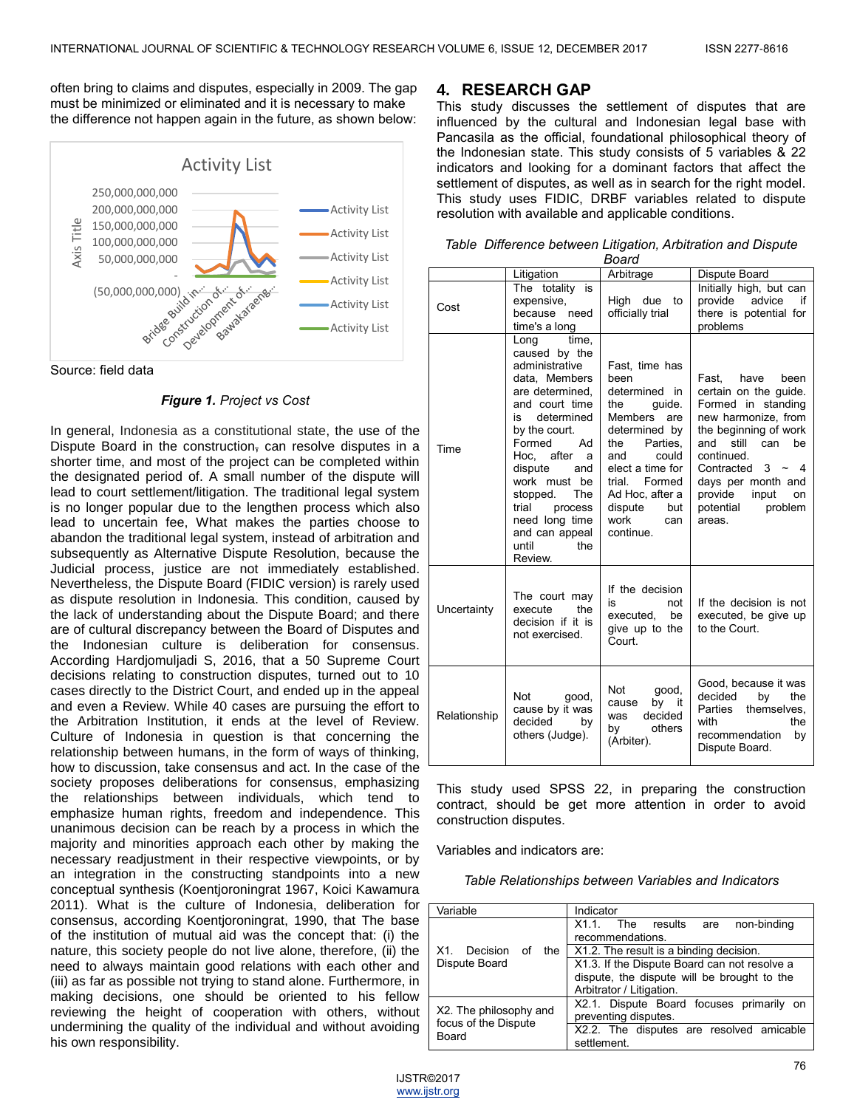often bring to claims and disputes, especially in 2009. The gap must be minimized or eliminated and it is necessary to make the difference not happen again in the future, as shown below:



Source: field data

#### *Figure 1. Project vs Cost*

In general, Indonesia as a constitutional state, the use of the Dispute Board in the construction, can resolve disputes in a shorter time, and most of the project can be completed within the designated period of. A small number of the dispute will lead to court settlement/litigation. The traditional legal system is no longer popular due to the lengthen process which also lead to uncertain fee, What makes the parties choose to abandon the traditional legal system, instead of arbitration and subsequently as Alternative Dispute Resolution, because the Judicial process, justice are not immediately established. Nevertheless, the Dispute Board (FIDIC version) is rarely used as dispute resolution in Indonesia. This condition, caused by the lack of understanding about the Dispute Board; and there are of cultural discrepancy between the Board of Disputes and the Indonesian culture is deliberation for consensus. According Hardjomuljadi S, 2016, that a 50 Supreme Court decisions relating to construction disputes, turned out to 10 cases directly to the District Court, and ended up in the appeal and even a Review. While 40 cases are pursuing the effort to the Arbitration Institution, it ends at the level of Review. Culture of Indonesia in question is that concerning the relationship between humans, in the form of ways of thinking, how to discussion, take consensus and act. In the case of the society proposes deliberations for consensus, emphasizing the relationships between individuals, which tend to emphasize human rights, freedom and independence. This unanimous decision can be reach by a process in which the majority and minorities approach each other by making the necessary readjustment in their respective viewpoints, or by an integration in the constructing standpoints into a new conceptual synthesis (Koentjoroningrat 1967, Koici Kawamura 2011). What is the culture of Indonesia, deliberation for consensus, according Koentjoroningrat, 1990, that The base of the institution of mutual aid was the concept that: (i) the nature, this society people do not live alone, therefore, (ii) the need to always maintain good relations with each other and (iii) as far as possible not trying to stand alone. Furthermore, in making decisions, one should be oriented to his fellow reviewing the height of cooperation with others, without undermining the quality of the individual and without avoiding his own responsibility.

#### **4. RESEARCH GAP**

This study discusses the settlement of disputes that are influenced by the cultural and Indonesian legal base with Pancasila as the official, foundational philosophical theory of the Indonesian state. This study consists of 5 variables & 22 indicators and looking for a dominant factors that affect the settlement of disputes, as well as in search for the right model. This study uses FIDIC, DRBF variables related to dispute resolution with available and applicable conditions.

|  |       | Table Difference between Litigation, Arbitration and Dispute |
|--|-------|--------------------------------------------------------------|
|  | Doord |                                                              |

| Board        |                                                                                                                                                                                                                                                                                                                     |                                                                                                                                                                                                                                      |                                                                                                                                                                                                                                                                           |  |  |  |  |
|--------------|---------------------------------------------------------------------------------------------------------------------------------------------------------------------------------------------------------------------------------------------------------------------------------------------------------------------|--------------------------------------------------------------------------------------------------------------------------------------------------------------------------------------------------------------------------------------|---------------------------------------------------------------------------------------------------------------------------------------------------------------------------------------------------------------------------------------------------------------------------|--|--|--|--|
|              | Litigation                                                                                                                                                                                                                                                                                                          | Arbitrage                                                                                                                                                                                                                            | Dispute Board                                                                                                                                                                                                                                                             |  |  |  |  |
| Cost         | The totality is<br>expensive,<br>because need<br>time's a long                                                                                                                                                                                                                                                      | High due<br>to<br>officially trial                                                                                                                                                                                                   | Initially high, but can<br>provide advice<br>if<br>there is potential for<br>problems                                                                                                                                                                                     |  |  |  |  |
| Time         | time.<br>Long<br>caused by the<br>administrative<br>data, Members<br>are determined,<br>and court time<br>is<br>determined<br>by the court.<br>Formed<br>Ad<br>Hoc. after a<br>dispute<br>and<br>work must be<br>The<br>stopped.<br>trial<br>process<br>need long time<br>and can appeal<br>until<br>the<br>Review. | Fast, time has<br>been<br>determined in<br>the<br>guide.<br>Members are<br>determined by<br>Parties.<br>the<br>could<br>and<br>elect a time for<br>trial.<br>Formed<br>Ad Hoc, after a<br>dispute<br>but<br>work<br>can<br>continue. | Fast.<br>have<br>been<br>certain on the guide.<br>Formed in standing<br>new harmonize, from<br>the beginning of work<br>and still can<br>be<br>continued.<br>Contracted<br>$3 -$<br>- 4<br>days per month and<br>provide<br>input<br>on<br>potential<br>problem<br>areas. |  |  |  |  |
| Uncertainty  | The court may<br>the<br>execute<br>decision if it is<br>not exercised.                                                                                                                                                                                                                                              | If the decision<br>is<br>not<br>executed, be<br>give up to the<br>Court.                                                                                                                                                             | If the decision is not<br>executed, be give up<br>to the Court.                                                                                                                                                                                                           |  |  |  |  |
| Relationship | Not<br>good,<br>cause by it was<br>decided<br>bv<br>others (Judge).                                                                                                                                                                                                                                                 | Not<br>good,<br>by it<br>cause<br>decided<br>was<br>others<br>by<br>(Arbiter).                                                                                                                                                       | Good, because it was<br>decided<br>by<br>the<br>Parties<br>themselves.<br>with<br>the<br>recommendation<br>bv<br>Dispute Board.                                                                                                                                           |  |  |  |  |

This study used SPSS 22, in preparing the construction contract, should be get more attention in order to avoid construction disputes.

Variables and indicators are:

*Table Relationships between Variables and Indicators*

| Variable                                       | Indicator                                                                                                               |  |  |  |
|------------------------------------------------|-------------------------------------------------------------------------------------------------------------------------|--|--|--|
|                                                | non-binding<br>X1.1. The results are<br>recommendations.                                                                |  |  |  |
| Decision of<br>X1.<br>the                      | X1.2. The result is a binding decision.                                                                                 |  |  |  |
| Dispute Board                                  | X1.3. If the Dispute Board can not resolve a<br>dispute, the dispute will be brought to the<br>Arbitrator / Litigation. |  |  |  |
| X2. The philosophy and<br>focus of the Dispute | X2.1. Dispute Board focuses primarily<br>on<br>preventing disputes.                                                     |  |  |  |
| Board                                          | X2.2. The disputes are resolved amicable<br>settlement.                                                                 |  |  |  |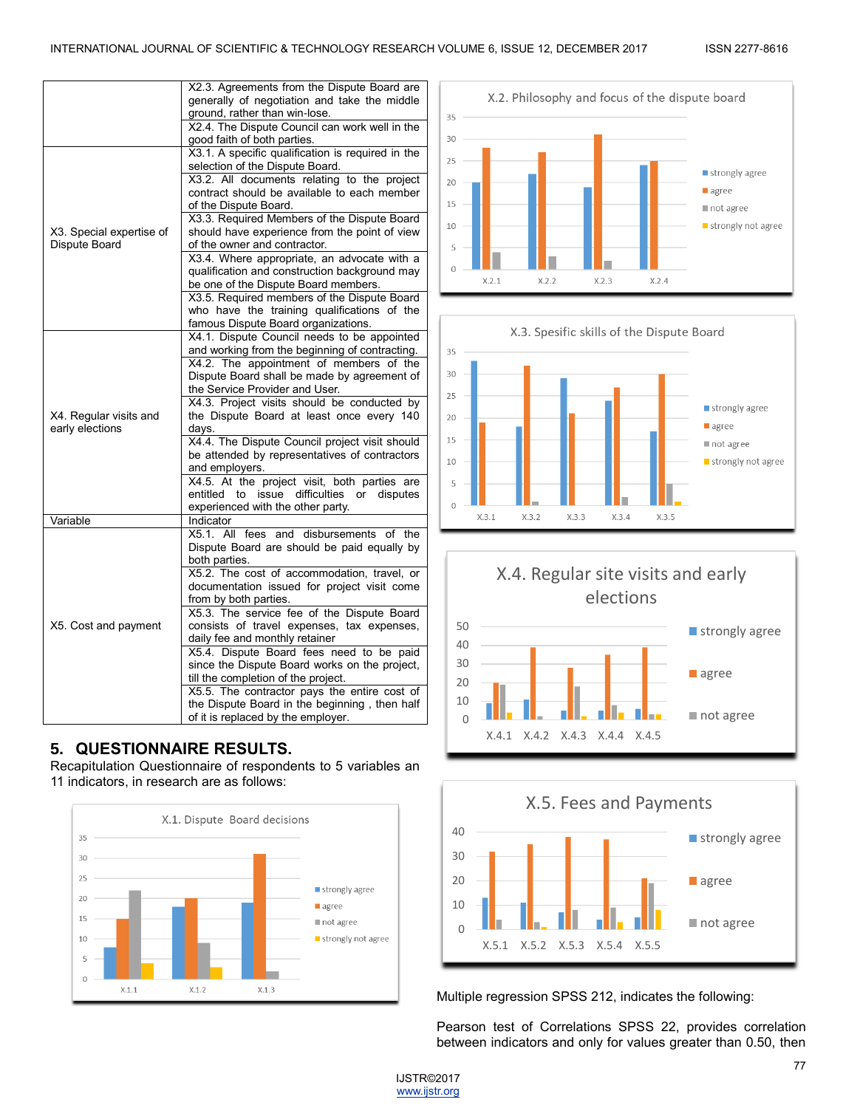|                                           | X2.3. Agreements from the Dispute Board are<br>generally of negotiation and take the middle<br>ground, rather than win-lose.                                               |
|-------------------------------------------|----------------------------------------------------------------------------------------------------------------------------------------------------------------------------|
|                                           | X2.4. The Dispute Council can work well in the<br>good faith of both parties.                                                                                              |
|                                           | X3.1. A specific qualification is required in the<br>selection of the Dispute Board.                                                                                       |
|                                           | X3.2. All documents relating to the project<br>contract should be available to each member<br>of the Dispute Board.                                                        |
| X3. Special expertise of<br>Dispute Board | X3.3. Required Members of the Dispute Board<br>should have experience from the point of view<br>of the owner and contractor.                                               |
|                                           | X3.4. Where appropriate, an advocate with a<br>qualification and construction background may<br>be one of the Dispute Board members.                                       |
|                                           | X3.5. Required members of the Dispute Board<br>who have the training qualifications of the<br>famous Dispute Board organizations.                                          |
|                                           | X4.1. Dispute Council needs to be appointed                                                                                                                                |
|                                           | and working from the beginning of contracting.<br>X4.2. The appointment of members of the<br>Dispute Board shall be made by agreement of<br>the Service Provider and User. |
| X4. Regular visits and<br>early elections | X4.3. Project visits should be conducted by<br>the Dispute Board at least once every 140<br>days.                                                                          |
|                                           | X4.4. The Dispute Council project visit should<br>be attended by representatives of contractors<br>and employers.                                                          |
|                                           | X4.5. At the project visit, both parties are<br>issue difficulties or<br>entitled to<br>disputes<br>experienced with the other party.                                      |
| Variable                                  | Indicator                                                                                                                                                                  |
|                                           | X5.1. All fees and disbursements of the<br>Dispute Board are should be paid equally by<br>both parties.                                                                    |
|                                           | X5.2. The cost of accommodation, travel, or<br>documentation issued for project visit come<br>from by both parties.                                                        |
| X5. Cost and payment                      | X5.3. The service fee of the Dispute Board<br>consists of travel expenses, tax expenses,<br>daily fee and monthly retainer                                                 |
|                                           | X5.4. Dispute Board fees need to be paid<br>since the Dispute Board works on the project,<br>till the completion of the project.                                           |
|                                           | X5.5. The contractor pays the entire cost of<br>the Dispute Board in the beginning, then half<br>of it is replaced by the employer.                                        |

# **5. QUESTIONNAIRE RESULTS.**

Recapitulation Questionnaire of respondents to 5 variables an 11 indicators, in research are as follows:











Multiple regression SPSS 212, indicates the following:

Pearson test of Correlations SPSS 22, provides correlation between indicators and only for values greater than 0.50, then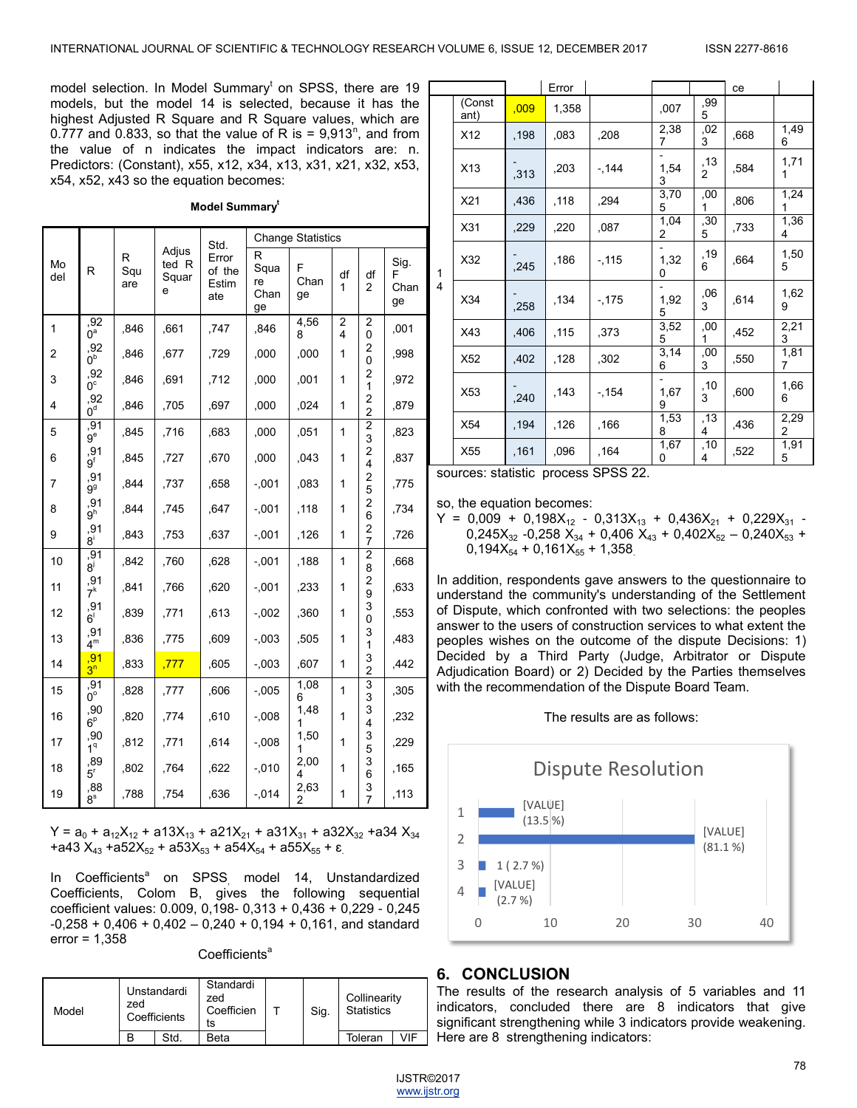model selection. In Model Summary<sup>t</sup> on SPSS, there are 19 models, but the model 14 is selected, because it has the highest Adjusted R Square and R Square values, which are 0.777 and 0.833, so that the value of R is =  $9.913<sup>n</sup>$ , and from the value of n indicates the impact indicators are: n. Predictors: (Constant), x55, x12, x34, x13, x31, x21, x32, x53, x54, x52, x43 so the equation becomes:

#### **Model Summary<sup>t</sup>**

|                |                         |                 |                              | Std.                            | <b>Change Statistics</b>      |                 |                     |                                           |                         |
|----------------|-------------------------|-----------------|------------------------------|---------------------------------|-------------------------------|-----------------|---------------------|-------------------------------------------|-------------------------|
| Mo<br>del      | R                       | R<br>Squ<br>are | Adjus<br>ted R<br>Squar<br>e | Error<br>of the<br>Estim<br>ate | R<br>Squa<br>re<br>Chan<br>ge | F<br>Chan<br>ge | df<br>1             | df<br>2                                   | Sig.<br>F<br>Chan<br>ge |
| 1              | .92<br>$0^a$            | ,846            | ,661                         | ,747                            | ,846                          | 4,56<br>8       | $\overline{c}$<br>4 | $\overline{c}$<br>0                       | ,001                    |
| 2              | ,92<br>$0^{\rm b}$      | ,846            | .677                         | ,729                            | ,000                          | ,000            | 1                   | 2<br>0                                    | .998                    |
| 3              | ,92<br>0 <sup>c</sup>   | ,846            | .691                         | ,712                            | ,000                          | ,001            | 1                   | $\overline{c}$<br>1                       | ,972                    |
| $\overline{4}$ | ,92<br>$0^d$            | ,846            | ,705                         | ,697                            | ,000                          | ,024            | 1                   | $\overline{c}$<br>$\overline{c}$          | ,879                    |
| 5              | ,91<br>9 <sup>e</sup>   | ,845            | ,716                         | ,683                            | ,000                          | ,051            | 1                   | $\overline{2}$<br>3                       | ,823                    |
| 6              | ,91<br>$9^{\mathsf{f}}$ | ,845            | ,727                         | .670                            | ,000                          | ,043            | 1                   | 2<br>4                                    | ,837                    |
| 7              | ,91<br>$9^{\circ}$      | ,844            | .737                         | ,658                            | $-0.001$                      | ,083            | 1                   | $\overline{\mathbf{c}}$<br>5              | ,775                    |
| 8              | ,91<br>9 <sup>h</sup>   | ,844            | ,745                         | .647                            | $-0.001$                      | ,118            | 1                   | 2<br>6                                    | ,734                    |
| 9              | ,91<br>$8^{\mathsf{i}}$ | ,843            | .753                         | ,637                            | $-0.01$                       | ,126            | 1                   | $\overline{\mathbf{c}}$<br>$\overline{7}$ | ,726                    |
| 10             | ,91<br>8,               | ,842            | ,760                         | ,628                            | $-0.001$                      | ,188            | 1                   | $\overline{2}$<br>8                       | ,668                    |
| 11             | ,91<br>$7^k$            | ,841            | .766                         | ,620                            | $-0.001$                      | ,233            | 1                   | 2<br>9                                    | ,633                    |
| 12             | ,91<br>$6^{\circ}$      | ,839            | ,771                         | .613                            | $-0.002$                      | ,360            | 1                   | 3<br>0                                    | ,553                    |
| 13             | ,91<br>4 <sup>m</sup>   | ,836            | ,775                         | .609                            | $-0.003$                      | ,505            | 1                   | 3<br>1                                    | ,483                    |
| 14             | ,91<br>3 <sup>n</sup>   | ,833            | ,777                         | ,605                            | $-0.003$                      | ,607            | 1                   | 3<br>$\overline{c}$                       | .442                    |
| 15             | .91<br>$0^{\circ}$      | ,828            | ,777                         | ,606                            | $-0.005$                      | 1,08<br>6       | 1                   | 3<br>3                                    | ,305                    |
| 16             | ,90<br>6 <sup>p</sup>   | ,820            | ,774                         | .610                            | $-0.008$                      | 1,48<br>1       | 1                   | 3<br>4                                    | .232                    |
| 17             | ,90<br>1 <sup>q</sup>   | ,812            | ,771                         | .614                            | $-0.08$                       | 1,50<br>1       | 1                   | 3<br>5                                    | ,229                    |
| 18             | ,89<br>5 <sup>r</sup>   | ,802            | .764                         | .622                            | $-0.010$                      | 2,00<br>4       | 1                   | 3<br>6                                    | .165                    |
| 19             | ,88<br>$8^{\rm s}$      | .788            | .754                         | .636                            | $-0.14$                       | 2,63<br>2       | 1                   | 3<br>$\overline{7}$                       | .113                    |

 $Y = a_0 + a_{12}X_{12} + a_{13}X_{13} + a_{21}X_{21} + a_{31}X_{31} + a_{32}X_{32} + a_{34}X_{34}$ +a43  $X_{43}$  +a52 $X_{52}$  + a53 $X_{53}$  + a54 $X_{54}$  + a55 $X_{55}$  +  $\varepsilon$ 

In Coefficients<sup>a</sup> on SPSS, model 14, Unstandardized Coefficients, Colom B, gives the following sequential coefficient values: 0.009, 0,198- 0,313 + 0,436 + 0,229 - 0,245  $-0,258 + 0,406 + 0,402 - 0,240 + 0,194 + 0,161$ , and standard error = 1,358

 $Coefficients<sup>a</sup>$ 

| Model | Unstandardi<br>zed<br>Coefficients |     | Standardi<br>zed<br>Coefficien<br>ts | Sig. | Collinearity<br><b>Statistics</b> |     |
|-------|------------------------------------|-----|--------------------------------------|------|-----------------------------------|-----|
|       | B                                  | Std | Beta                                 |      | Toleran                           | /IF |

|        |                 |      | Error |        |           |          | ce   |           |
|--------|-----------------|------|-------|--------|-----------|----------|------|-----------|
|        | (Const<br>ant)  | ,009 | 1,358 |        | ,007      | ,99<br>5 |      |           |
|        | X12             | ,198 | ,083  | ,208   | 2,38<br>7 | ,02<br>3 | ,668 | 1,49<br>6 |
|        | X <sub>13</sub> | ,313 | ,203  | $-144$ | 1,54<br>3 | ,13<br>2 | ,584 | 1,71<br>1 |
|        | X21             | ,436 | ,118  | ,294   | 3,70<br>5 | ,00<br>1 | ,806 | 1,24      |
| 1<br>4 | X31             | ,229 | ,220  | ,087   | 1,04<br>2 | ,30<br>5 | ,733 | 1,36<br>4 |
|        | X32             | ,245 | .186  | $-115$ | 1,32<br>0 | ,19<br>6 | ,664 | 1,50<br>5 |
|        | X34             | ,258 | ,134  | $-175$ | 1,92<br>5 | ,06<br>3 | ,614 | 1,62<br>9 |
|        | X43             | ,406 | ,115  | ,373   | 3,52<br>5 | ,00<br>1 | ,452 | 2,21<br>3 |
|        | X <sub>52</sub> | ,402 | ,128  | ,302   | 3,14<br>6 | ,00<br>3 | ,550 | 1,81<br>7 |
|        | X53             | ,240 | ,143  | $-154$ | 1,67<br>9 | ,10<br>3 | ,600 | 1,66<br>6 |
|        | X54             | ,194 | ,126  | ,166   | 1,53<br>8 | ,13<br>4 | ,436 | 2,29<br>2 |
|        | X55             | .161 | ,096  | .164   | 1,67<br>0 | ,10<br>4 | ,522 | 1,91<br>5 |

sources: statistic process SPSS 22.

so, the equation becomes:

 $Y = 0,009 + 0,198X_{12} - 0,313X_{13} + 0,436X_{21} + 0,229X_{31} 0,245X_{32}$  -0,258  $X_{34}$  + 0,406  $X_{43}$  + 0,402 $X_{52}$  – 0,240 $X_{53}$  +  $0,194X_{54} + 0,161X_{55} + 1,358$ 

In addition, respondents gave answers to the questionnaire to understand the community's understanding of the Settlement of Dispute, which confronted with two selections: the peoples answer to the users of construction services to what extent the peoples wishes on the outcome of the dispute Decisions: 1) Decided by a Third Party (Judge, Arbitrator or Dispute Adjudication Board) or 2) Decided by the Parties themselves with the recommendation of the Dispute Board Team.





# **6. CONCLUSION**

The results of the research analysis of 5 variables and 11 indicators, concluded there are 8 indicators that give significant strengthening while 3 indicators provide weakening. Here are 8 strengthening indicators: